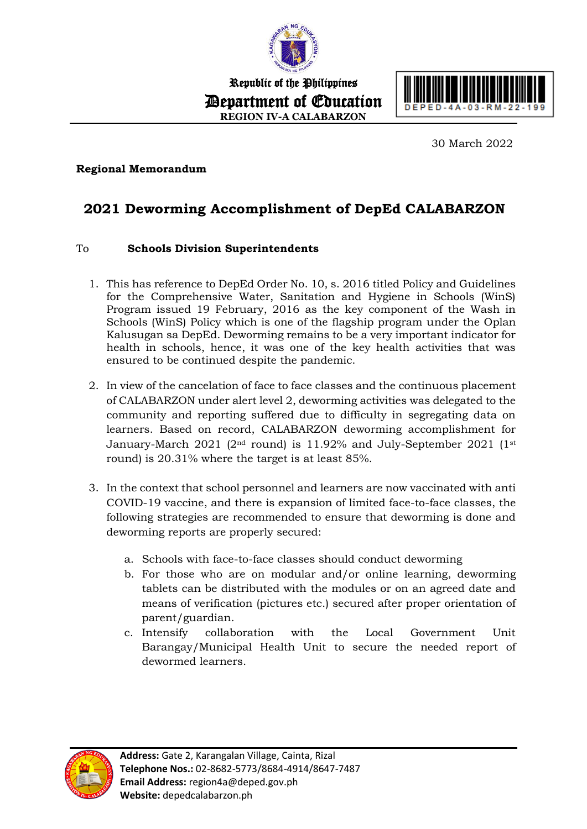

Republic of the Philippines Department of Education **REGION IV-A CALABARZON**



30 March 2022

## **Regional Memorandum**

## **2021 Deworming Accomplishment of DepEd CALABARZON**

## To **Schools Division Superintendents**

- 1. This has reference to DepEd Order No. 10, s. 2016 titled Policy and Guidelines for the Comprehensive Water, Sanitation and Hygiene in Schools (WinS) Program issued 19 February, 2016 as the key component of the Wash in Schools (WinS) Policy which is one of the flagship program under the Oplan Kalusugan sa DepEd. Deworming remains to be a very important indicator for health in schools, hence, it was one of the key health activities that was ensured to be continued despite the pandemic.
- 2. In view of the cancelation of face to face classes and the continuous placement of CALABARZON under alert level 2, deworming activities was delegated to the community and reporting suffered due to difficulty in segregating data on learners. Based on record, CALABARZON deworming accomplishment for January-March 2021 ( $2<sup>nd</sup>$  round) is 11.92% and July-September 2021 ( $1<sup>st</sup>$ round) is 20.31% where the target is at least 85%.
- 3. In the context that school personnel and learners are now vaccinated with anti COVID-19 vaccine, and there is expansion of limited face-to-face classes, the following strategies are recommended to ensure that deworming is done and deworming reports are properly secured:
	- a. Schools with face-to-face classes should conduct deworming
	- b. For those who are on modular and/or online learning, deworming tablets can be distributed with the modules or on an agreed date and means of verification (pictures etc.) secured after proper orientation of parent/guardian.
	- c. Intensify collaboration with the Local Government Unit Barangay/Municipal Health Unit to secure the needed report of dewormed learners.

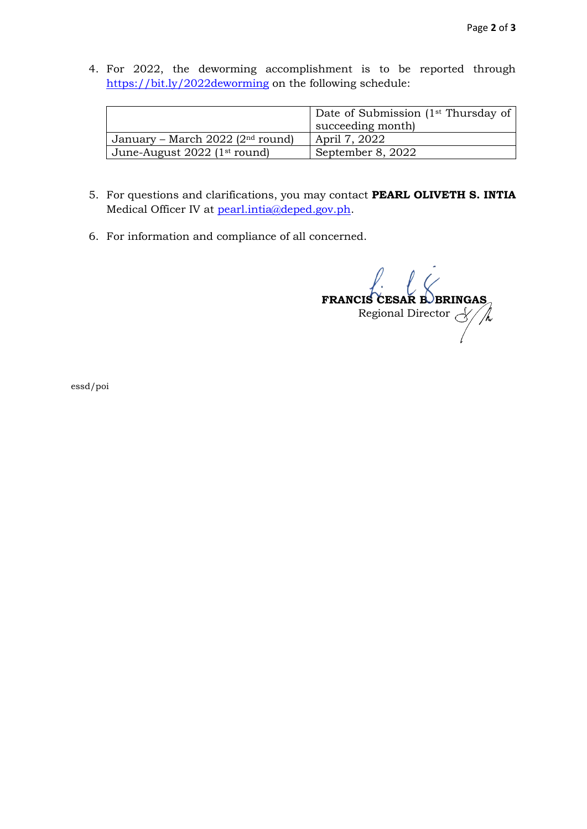4. For 2022, the deworming accomplishment is to be reported through <https://bit.ly/2022deworming> on the following schedule:

|                                     | Date of Submission (1 <sup>st</sup> Thursday of<br>succeeding month |
|-------------------------------------|---------------------------------------------------------------------|
| January – March 2022 ( $2nd$ round) | April 7, 2022                                                       |
| June-August 2022 (1st round)        | September 8, 2022                                                   |

- 5. For questions and clarifications, you may contact **PEARL OLIVETH S. INTIA** Medical Officer IV at [pearl.intia@deped.gov.ph.](mailto:pearl.intia@deped.gov.ph)
- 6. For information and compliance of all concerned.

**FRANCIS CESAR B. BRINGAS** Regional Director

essd/poi